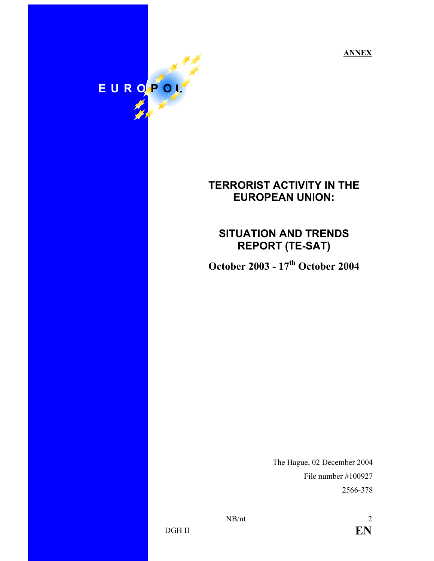**ANNEX**

# EUROPOL

## **TERRORIST ACTIVITY IN THE EUROPEAN UNION:**

# **SITUATION AND TRENDS REPORT (TE-SAT)**

**October 2003 - 17th October 2004** 

The Hague, 02 December 2004 File number #100927 2566-378

DGH II **EN**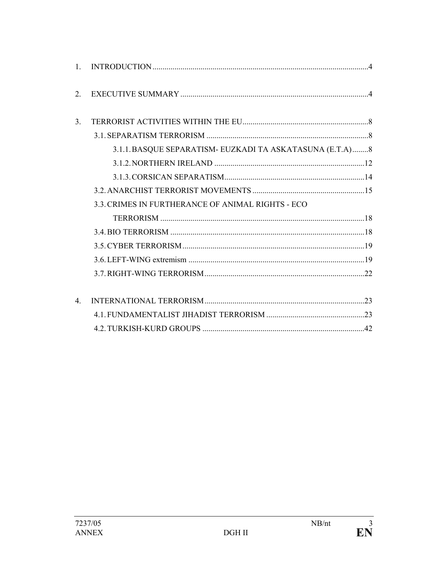| $\mathbf{1}$     |                                                           |  |
|------------------|-----------------------------------------------------------|--|
| 2                |                                                           |  |
| 3.               |                                                           |  |
|                  |                                                           |  |
|                  | 3.1.1. BASQUE SEPARATISM- EUZKADI TA ASKATASUNA (E.T.A) 8 |  |
|                  |                                                           |  |
|                  |                                                           |  |
|                  |                                                           |  |
|                  | 3.3. CRIMES IN FURTHERANCE OF ANIMAL RIGHTS - ECO         |  |
|                  |                                                           |  |
|                  |                                                           |  |
|                  |                                                           |  |
|                  |                                                           |  |
|                  |                                                           |  |
|                  |                                                           |  |
| $\overline{4}$ . |                                                           |  |
|                  |                                                           |  |
|                  |                                                           |  |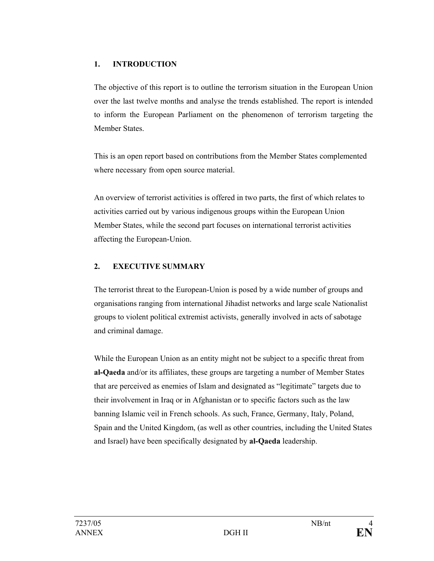## **1. INTRODUCTION**

The objective of this report is to outline the terrorism situation in the European Union over the last twelve months and analyse the trends established. The report is intended to inform the European Parliament on the phenomenon of terrorism targeting the Member States.

This is an open report based on contributions from the Member States complemented where necessary from open source material.

An overview of terrorist activities is offered in two parts, the first of which relates to activities carried out by various indigenous groups within the European Union Member States, while the second part focuses on international terrorist activities affecting the European-Union.

## **2. EXECUTIVE SUMMARY**

The terrorist threat to the European-Union is posed by a wide number of groups and organisations ranging from international Jihadist networks and large scale Nationalist groups to violent political extremist activists, generally involved in acts of sabotage and criminal damage.

While the European Union as an entity might not be subject to a specific threat from **al-Qaeda** and/or its affiliates, these groups are targeting a number of Member States that are perceived as enemies of Islam and designated as "legitimate" targets due to their involvement in Iraq or in Afghanistan or to specific factors such as the law banning Islamic veil in French schools. As such, France, Germany, Italy, Poland, Spain and the United Kingdom, (as well as other countries, including the United States and Israel) have been specifically designated by **al-Qaeda** leadership.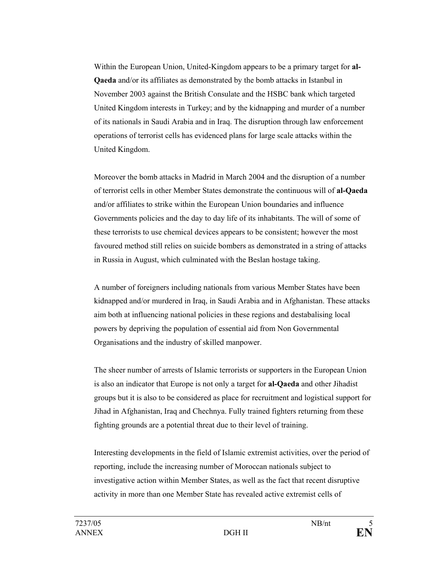Within the European Union, United-Kingdom appears to be a primary target for **al-Qaeda** and/or its affiliates as demonstrated by the bomb attacks in Istanbul in November 2003 against the British Consulate and the HSBC bank which targeted United Kingdom interests in Turkey; and by the kidnapping and murder of a number of its nationals in Saudi Arabia and in Iraq. The disruption through law enforcement operations of terrorist cells has evidenced plans for large scale attacks within the United Kingdom.

Moreover the bomb attacks in Madrid in March 2004 and the disruption of a number of terrorist cells in other Member States demonstrate the continuous will of **al-Qaeda** and/or affiliates to strike within the European Union boundaries and influence Governments policies and the day to day life of its inhabitants. The will of some of these terrorists to use chemical devices appears to be consistent; however the most favoured method still relies on suicide bombers as demonstrated in a string of attacks in Russia in August, which culminated with the Beslan hostage taking.

A number of foreigners including nationals from various Member States have been kidnapped and/or murdered in Iraq, in Saudi Arabia and in Afghanistan. These attacks aim both at influencing national policies in these regions and destabalising local powers by depriving the population of essential aid from Non Governmental Organisations and the industry of skilled manpower.

The sheer number of arrests of Islamic terrorists or supporters in the European Union is also an indicator that Europe is not only a target for **al-Qaeda** and other Jihadist groups but it is also to be considered as place for recruitment and logistical support for Jihad in Afghanistan, Iraq and Chechnya. Fully trained fighters returning from these fighting grounds are a potential threat due to their level of training.

Interesting developments in the field of Islamic extremist activities, over the period of reporting, include the increasing number of Moroccan nationals subject to investigative action within Member States, as well as the fact that recent disruptive activity in more than one Member State has revealed active extremist cells of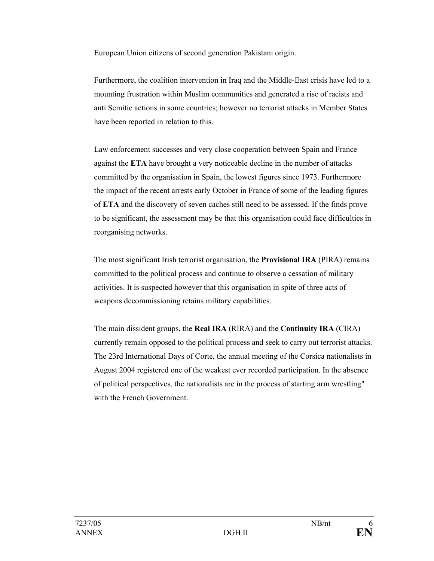European Union citizens of second generation Pakistani origin.

Furthermore, the coalition intervention in Iraq and the Middle-East crisis have led to a mounting frustration within Muslim communities and generated a rise of racists and anti Semitic actions in some countries; however no terrorist attacks in Member States have been reported in relation to this.

Law enforcement successes and very close cooperation between Spain and France against the **ETA** have brought a very noticeable decline in the number of attacks committed by the organisation in Spain, the lowest figures since 1973. Furthermore the impact of the recent arrests early October in France of some of the leading figures of **ETA** and the discovery of seven caches still need to be assessed. If the finds prove to be significant, the assessment may be that this organisation could face difficulties in reorganising networks.

The most significant Irish terrorist organisation, the **Provisional IRA** (PIRA) remains committed to the political process and continue to observe a cessation of military activities. It is suspected however that this organisation in spite of three acts of weapons decommissioning retains military capabilities.

The main dissident groups, the **Real IRA** (RIRA) and the **Continuity IRA** (CIRA) currently remain opposed to the political process and seek to carry out terrorist attacks. The 23rd International Days of Corte, the annual meeting of the Corsica nationalists in August 2004 registered one of the weakest ever recorded participation. In the absence of political perspectives, the nationalists are in the process of starting arm wrestling" with the French Government.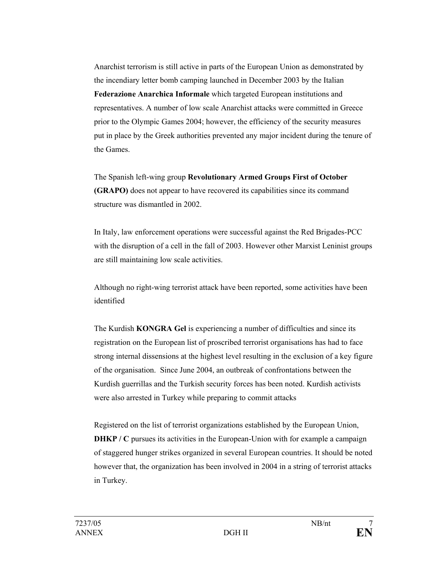Anarchist terrorism is still active in parts of the European Union as demonstrated by the incendiary letter bomb camping launched in December 2003 by the Italian **Federazione Anarchica Informale** which targeted European institutions and representatives. A number of low scale Anarchist attacks were committed in Greece prior to the Olympic Games 2004; however, the efficiency of the security measures put in place by the Greek authorities prevented any major incident during the tenure of the Games.

The Spanish left-wing group **Revolutionary Armed Groups First of October (GRAPO)** does not appear to have recovered its capabilities since its command structure was dismantled in 2002.

In Italy, law enforcement operations were successful against the Red Brigades-PCC with the disruption of a cell in the fall of 2003. However other Marxist Leninist groups are still maintaining low scale activities.

Although no right-wing terrorist attack have been reported, some activities have been identified

The Kurdish **KONGRA Gel** is experiencing a number of difficulties and since its registration on the European list of proscribed terrorist organisations has had to face strong internal dissensions at the highest level resulting in the exclusion of a key figure of the organisation. Since June 2004, an outbreak of confrontations between the Kurdish guerrillas and the Turkish security forces has been noted. Kurdish activists were also arrested in Turkey while preparing to commit attacks

Registered on the list of terrorist organizations established by the European Union, **DHKP** / C pursues its activities in the European-Union with for example a campaign of staggered hunger strikes organized in several European countries. It should be noted however that, the organization has been involved in 2004 in a string of terrorist attacks in Turkey.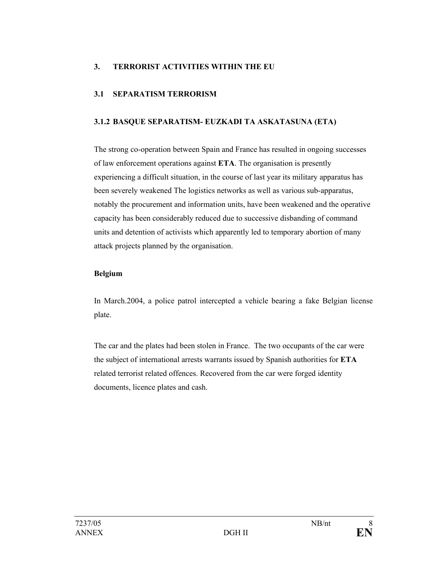## **3. TERRORIST ACTIVITIES WITHIN THE EU**

## **3.1 SEPARATISM TERRORISM**

## **3.1.2 BASQUE SEPARATISM- EUZKADI TA ASKATASUNA (ETA)**

The strong co-operation between Spain and France has resulted in ongoing successes of law enforcement operations against **ETA**. The organisation is presently experiencing a difficult situation, in the course of last year its military apparatus has been severely weakened The logistics networks as well as various sub-apparatus, notably the procurement and information units, have been weakened and the operative capacity has been considerably reduced due to successive disbanding of command units and detention of activists which apparently led to temporary abortion of many attack projects planned by the organisation.

## **Belgium**

In March.2004, a police patrol intercepted a vehicle bearing a fake Belgian license plate.

The car and the plates had been stolen in France. The two occupants of the car were the subject of international arrests warrants issued by Spanish authorities for **ETA** related terrorist related offences. Recovered from the car were forged identity documents, licence plates and cash.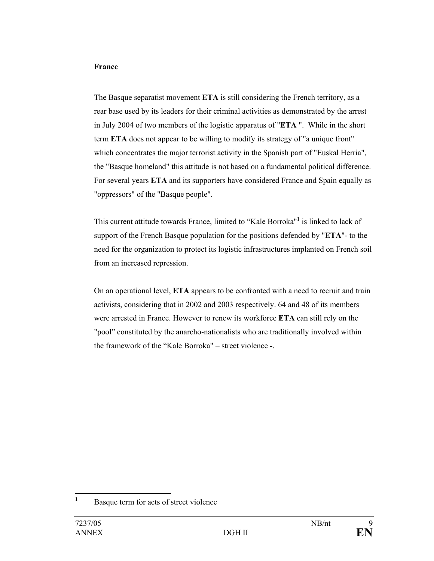#### **France**

The Basque separatist movement **ETA** is still considering the French territory, as a rear base used by its leaders for their criminal activities as demonstrated by the arrest in July 2004 of two members of the logistic apparatus of "**ETA** ". While in the short term **ETA** does not appear to be willing to modify its strategy of "a unique front" which concentrates the major terrorist activity in the Spanish part of "Euskal Herria", the "Basque homeland" this attitude is not based on a fundamental political difference. For several years **ETA** and its supporters have considered France and Spain equally as "oppressors" of the "Basque people".

This current attitude towards France, limited to "Kale Borroka"**<sup>1</sup>** is linked to lack of support of the French Basque population for the positions defended by "**ETA**"- to the need for the organization to protect its logistic infrastructures implanted on French soil from an increased repression.

On an operational level, **ETA** appears to be confronted with a need to recruit and train activists, considering that in 2002 and 2003 respectively. 64 and 48 of its members were arrested in France. However to renew its workforce **ETA** can still rely on the "pool" constituted by the anarcho-nationalists who are traditionally involved within the framework of the "Kale Borroka" – street violence -.

 **1** Basque term for acts of street violence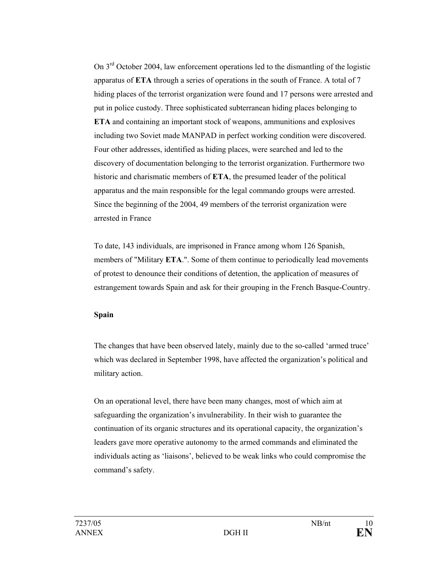On 3rd October 2004, law enforcement operations led to the dismantling of the logistic apparatus of **ETA** through a series of operations in the south of France. A total of 7 hiding places of the terrorist organization were found and 17 persons were arrested and put in police custody. Three sophisticated subterranean hiding places belonging to **ETA** and containing an important stock of weapons, ammunitions and explosives including two Soviet made MANPAD in perfect working condition were discovered. Four other addresses, identified as hiding places, were searched and led to the discovery of documentation belonging to the terrorist organization. Furthermore two historic and charismatic members of **ETA**, the presumed leader of the political apparatus and the main responsible for the legal commando groups were arrested. Since the beginning of the 2004, 49 members of the terrorist organization were arrested in France

To date, 143 individuals, are imprisoned in France among whom 126 Spanish, members of "Military **ETA**.". Some of them continue to periodically lead movements of protest to denounce their conditions of detention, the application of measures of estrangement towards Spain and ask for their grouping in the French Basque-Country.

#### **Spain**

The changes that have been observed lately, mainly due to the so-called 'armed truce' which was declared in September 1998, have affected the organization's political and military action.

On an operational level, there have been many changes, most of which aim at safeguarding the organization's invulnerability. In their wish to guarantee the continuation of its organic structures and its operational capacity, the organization's leaders gave more operative autonomy to the armed commands and eliminated the individuals acting as 'liaisons', believed to be weak links who could compromise the command's safety.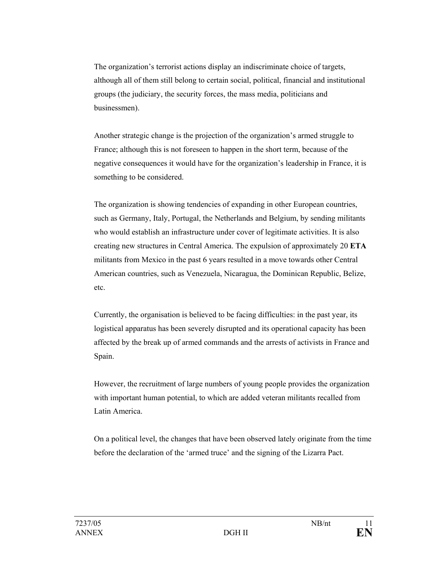The organization's terrorist actions display an indiscriminate choice of targets, although all of them still belong to certain social, political, financial and institutional groups (the judiciary, the security forces, the mass media, politicians and businessmen).

Another strategic change is the projection of the organization's armed struggle to France; although this is not foreseen to happen in the short term, because of the negative consequences it would have for the organization's leadership in France, it is something to be considered.

The organization is showing tendencies of expanding in other European countries, such as Germany, Italy, Portugal, the Netherlands and Belgium, by sending militants who would establish an infrastructure under cover of legitimate activities. It is also creating new structures in Central America. The expulsion of approximately 20 **ETA** militants from Mexico in the past 6 years resulted in a move towards other Central American countries, such as Venezuela, Nicaragua, the Dominican Republic, Belize, etc.

Currently, the organisation is believed to be facing difficulties: in the past year, its logistical apparatus has been severely disrupted and its operational capacity has been affected by the break up of armed commands and the arrests of activists in France and Spain.

However, the recruitment of large numbers of young people provides the organization with important human potential, to which are added veteran militants recalled from Latin America.

On a political level, the changes that have been observed lately originate from the time before the declaration of the 'armed truce' and the signing of the Lizarra Pact.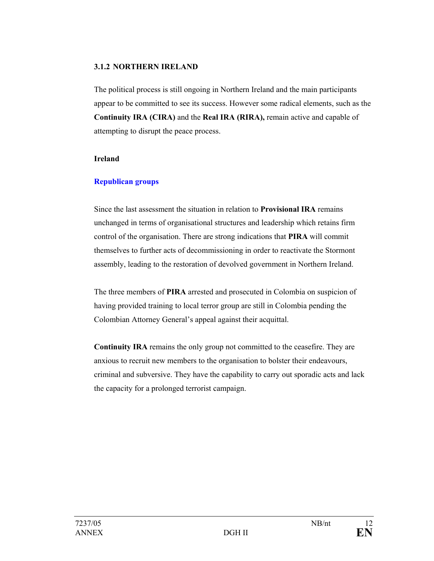#### **3.1.2 NORTHERN IRELAND**

The political process is still ongoing in Northern Ireland and the main participants appear to be committed to see its success. However some radical elements, such as the **Continuity IRA (CIRA)** and the **Real IRA (RIRA),** remain active and capable of attempting to disrupt the peace process.

#### **Ireland**

## **Republican groups**

Since the last assessment the situation in relation to **Provisional IRA** remains unchanged in terms of organisational structures and leadership which retains firm control of the organisation. There are strong indications that **PIRA** will commit themselves to further acts of decommissioning in order to reactivate the Stormont assembly, leading to the restoration of devolved government in Northern Ireland.

The three members of **PIRA** arrested and prosecuted in Colombia on suspicion of having provided training to local terror group are still in Colombia pending the Colombian Attorney General's appeal against their acquittal.

**Continuity IRA** remains the only group not committed to the ceasefire. They are anxious to recruit new members to the organisation to bolster their endeavours, criminal and subversive. They have the capability to carry out sporadic acts and lack the capacity for a prolonged terrorist campaign.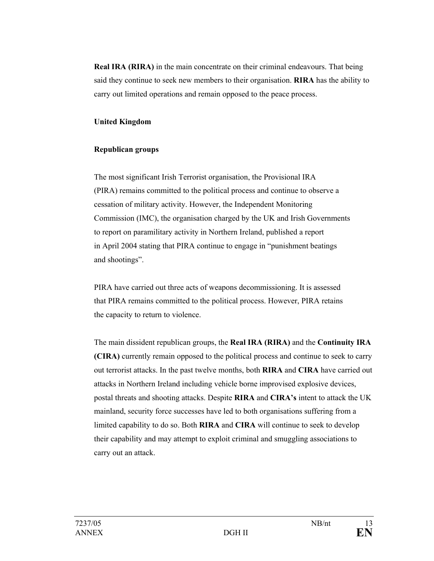**Real IRA (RIRA)** in the main concentrate on their criminal endeavours. That being said they continue to seek new members to their organisation. **RIRA** has the ability to carry out limited operations and remain opposed to the peace process.

#### **United Kingdom**

#### **Republican groups**

The most significant Irish Terrorist organisation, the Provisional IRA (PIRA) remains committed to the political process and continue to observe a cessation of military activity. However, the Independent Monitoring Commission (IMC), the organisation charged by the UK and Irish Governments to report on paramilitary activity in Northern Ireland, published a report in April 2004 stating that PIRA continue to engage in "punishment beatings and shootings".

PIRA have carried out three acts of weapons decommissioning. It is assessed that PIRA remains committed to the political process. However, PIRA retains the capacity to return to violence.

The main dissident republican groups, the **Real IRA (RIRA)** and the **Continuity IRA (CIRA)** currently remain opposed to the political process and continue to seek to carry out terrorist attacks. In the past twelve months, both **RIRA** and **CIRA** have carried out attacks in Northern Ireland including vehicle borne improvised explosive devices, postal threats and shooting attacks. Despite **RIRA** and **CIRA's** intent to attack the UK mainland, security force successes have led to both organisations suffering from a limited capability to do so. Both **RIRA** and **CIRA** will continue to seek to develop their capability and may attempt to exploit criminal and smuggling associations to carry out an attack.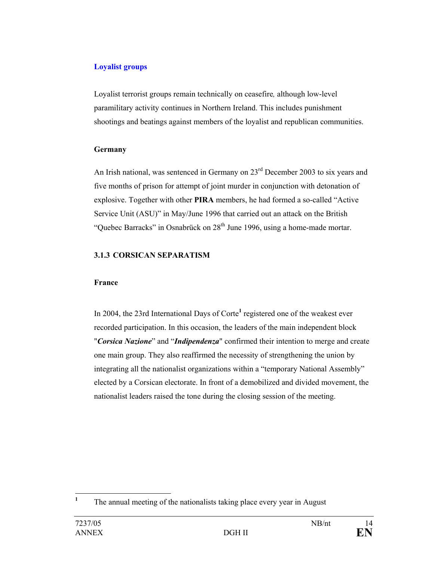## **Loyalist groups**

Loyalist terrorist groups remain technically on ceasefire*,* although low-level paramilitary activity continues in Northern Ireland. This includes punishment shootings and beatings against members of the loyalist and republican communities.

#### **Germany**

An Irish national, was sentenced in Germany on  $23<sup>rd</sup>$  December 2003 to six years and five months of prison for attempt of joint murder in conjunction with detonation of explosive. Together with other **PIRA** members, he had formed a so-called "Active Service Unit (ASU)" in May/June 1996 that carried out an attack on the British "Quebec Barracks" in Osnabrück on  $28<sup>th</sup>$  June 1996, using a home-made mortar.

## **3.1.3 CORSICAN SEPARATISM**

## **France**

In 2004, the 23rd International Days of Corte<sup>1</sup> registered one of the weakest ever recorded participation. In this occasion, the leaders of the main independent block "*Corsica Nazione*" and "*Indipendenza*" confirmed their intention to merge and create one main group. They also reaffirmed the necessity of strengthening the union by integrating all the nationalist organizations within a "temporary National Assembly" elected by a Corsican electorate. In front of a demobilized and divided movement, the nationalist leaders raised the tone during the closing session of the meeting.

 **1** The annual meeting of the nationalists taking place every year in August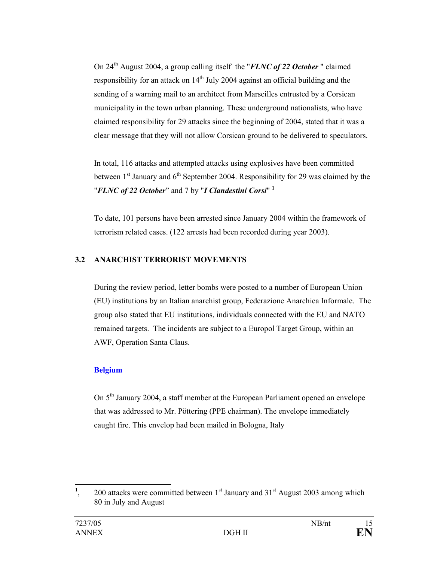On 24th August 2004, a group calling itself the "*FLNC of 22 October* " claimed responsibility for an attack on  $14<sup>th</sup>$  July 2004 against an official building and the sending of a warning mail to an architect from Marseilles entrusted by a Corsican municipality in the town urban planning. These underground nationalists, who have claimed responsibility for 29 attacks since the beginning of 2004, stated that it was a clear message that they will not allow Corsican ground to be delivered to speculators.

In total, 116 attacks and attempted attacks using explosives have been committed between  $1<sup>st</sup>$  January and  $6<sup>th</sup>$  September 2004. Responsibility for 29 was claimed by the "*FLNC of 22 October*" and 7 by "*I Clandestini Corsi*" **<sup>1</sup>**

To date, 101 persons have been arrested since January 2004 within the framework of terrorism related cases. (122 arrests had been recorded during year 2003).

## **3.2 ANARCHIST TERRORIST MOVEMENTS**

During the review period, letter bombs were posted to a number of European Union (EU) institutions by an Italian anarchist group, Federazione Anarchica Informale. The group also stated that EU institutions, individuals connected with the EU and NATO remained targets. The incidents are subject to a Europol Target Group, within an AWF, Operation Santa Claus.

#### **Belgium**

On 5<sup>th</sup> January 2004, a staff member at the European Parliament opened an envelope that was addressed to Mr. Pöttering (PPE chairman). The envelope immediately caught fire. This envelop had been mailed in Bologna, Italy

 **1** 200 attacks were committed between  $1<sup>st</sup>$  January and  $31<sup>st</sup>$  August 2003 among which 80 in July and August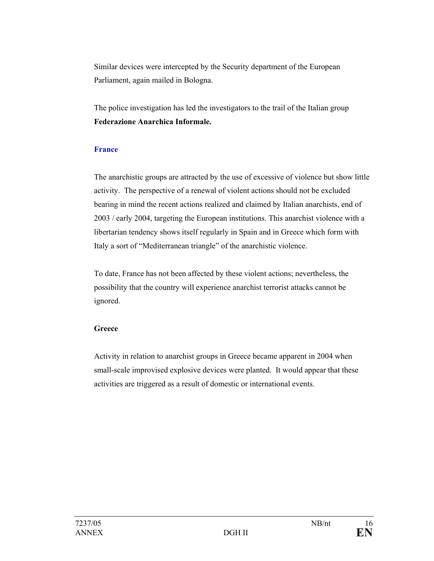Similar devices were intercepted by the Security department of the European Parliament, again mailed in Bologna.

The police investigation has led the investigators to the trail of the Italian group **Federazione Anarchica Informale.** 

#### **France**

The anarchistic groups are attracted by the use of excessive of violence but show little activity. The perspective of a renewal of violent actions should not be excluded bearing in mind the recent actions realized and claimed by Italian anarchists, end of 2003 / early 2004, targeting the European institutions. This anarchist violence with a libertarian tendency shows itself regularly in Spain and in Greece which form with Italy a sort of "Mediterranean triangle" of the anarchistic violence.

To date, France has not been affected by these violent actions; nevertheless, the possibility that the country will experience anarchist terrorist attacks cannot be ignored.

#### **Greece**

Activity in relation to anarchist groups in Greece became apparent in 2004 when small-scale improvised explosive devices were planted. It would appear that these activities are triggered as a result of domestic or international events.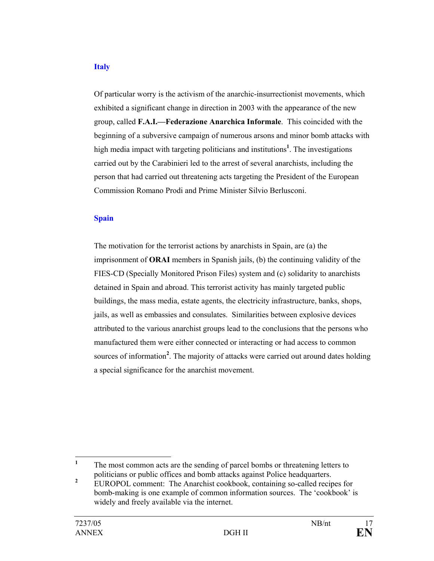#### **Italy**

Of particular worry is the activism of the anarchic-insurrectionist movements, which exhibited a significant change in direction in 2003 with the appearance of the new group, called **F.A.I.—Federazione Anarchica Informale**. This coincided with the beginning of a subversive campaign of numerous arsons and minor bomb attacks with high media impact with targeting politicians and institutions**<sup>1</sup>** . The investigations carried out by the Carabinieri led to the arrest of several anarchists, including the person that had carried out threatening acts targeting the President of the European Commission Romano Prodi and Prime Minister Silvio Berlusconi.

#### **Spain**

The motivation for the terrorist actions by anarchists in Spain, are (a) the imprisonment of **ORAI** members in Spanish jails, (b) the continuing validity of the FIES-CD (Specially Monitored Prison Files) system and (c) solidarity to anarchists detained in Spain and abroad. This terrorist activity has mainly targeted public buildings, the mass media, estate agents, the electricity infrastructure, banks, shops, jails, as well as embassies and consulates. Similarities between explosive devices attributed to the various anarchist groups lead to the conclusions that the persons who manufactured them were either connected or interacting or had access to common sources of information<sup>2</sup>. The majority of attacks were carried out around dates holding a special significance for the anarchist movement.

 **1** The most common acts are the sending of parcel bombs or threatening letters to politicians or public offices and bomb attacks against Police headquarters.

**<sup>2</sup>** EUROPOL comment: The Anarchist cookbook, containing so-called recipes for bomb-making is one example of common information sources. The 'cookbook' is widely and freely available via the internet.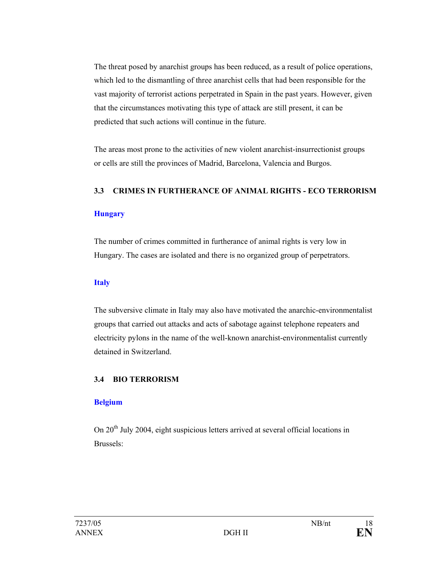The threat posed by anarchist groups has been reduced, as a result of police operations, which led to the dismantling of three anarchist cells that had been responsible for the vast majority of terrorist actions perpetrated in Spain in the past years. However, given that the circumstances motivating this type of attack are still present, it can be predicted that such actions will continue in the future.

The areas most prone to the activities of new violent anarchist-insurrectionist groups or cells are still the provinces of Madrid, Barcelona, Valencia and Burgos.

#### **3.3 CRIMES IN FURTHERANCE OF ANIMAL RIGHTS - ECO TERRORISM**

## **Hungary**

The number of crimes committed in furtherance of animal rights is very low in Hungary. The cases are isolated and there is no organized group of perpetrators.

## **Italy**

The subversive climate in Italy may also have motivated the anarchic-environmentalist groups that carried out attacks and acts of sabotage against telephone repeaters and electricity pylons in the name of the well-known anarchist-environmentalist currently detained in Switzerland.

## **3.4 BIO TERRORISM**

## **Belgium**

On 20<sup>th</sup> July 2004, eight suspicious letters arrived at several official locations in Brussels: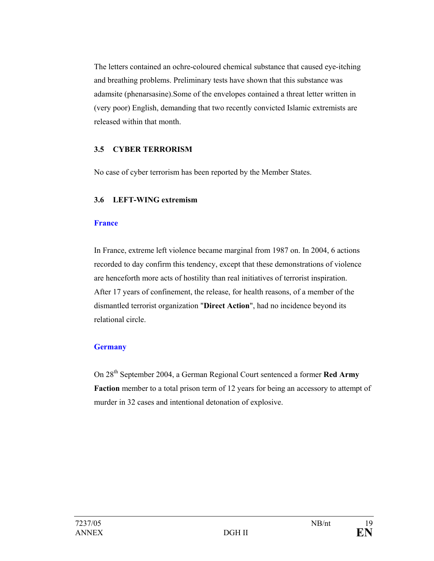The letters contained an ochre-coloured chemical substance that caused eye-itching and breathing problems. Preliminary tests have shown that this substance was adamsite (phenarsasine).Some of the envelopes contained a threat letter written in (very poor) English, demanding that two recently convicted Islamic extremists are released within that month.

#### **3.5 CYBER TERRORISM**

No case of cyber terrorism has been reported by the Member States.

#### **3.6 LEFT-WING extremism**

#### **France**

In France, extreme left violence became marginal from 1987 on. In 2004, 6 actions recorded to day confirm this tendency, except that these demonstrations of violence are henceforth more acts of hostility than real initiatives of terrorist inspiration. After 17 years of confinement, the release, for health reasons, of a member of the dismantled terrorist organization "**Direct Action**", had no incidence beyond its relational circle.

## **Germany**

On 28th September 2004, a German Regional Court sentenced a former **Red Army Faction** member to a total prison term of 12 years for being an accessory to attempt of murder in 32 cases and intentional detonation of explosive.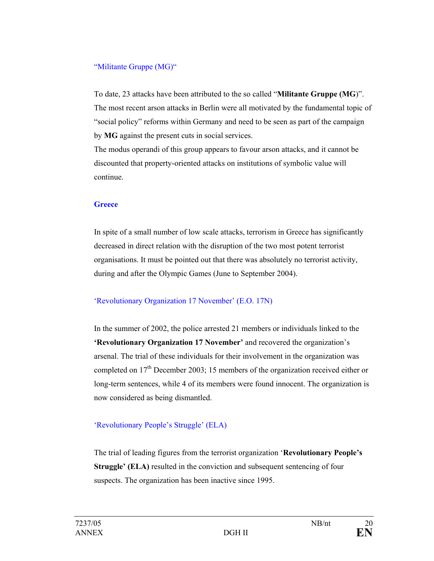## "Militante Gruppe (MG)"

To date, 23 attacks have been attributed to the so called "**Militante Gruppe (MG**)". The most recent arson attacks in Berlin were all motivated by the fundamental topic of "social policy" reforms within Germany and need to be seen as part of the campaign by **MG** against the present cuts in social services.

The modus operandi of this group appears to favour arson attacks, and it cannot be discounted that property-oriented attacks on institutions of symbolic value will continue.

## **Greece**

In spite of a small number of low scale attacks, terrorism in Greece has significantly decreased in direct relation with the disruption of the two most potent terrorist organisations. It must be pointed out that there was absolutely no terrorist activity, during and after the Olympic Games (June to September 2004).

## 'Revolutionary Organization 17 November' (E.O. 17N)

In the summer of 2002, the police arrested 21 members or individuals linked to the **'Revolutionary Organization 17 November'** and recovered the organization's arsenal. The trial of these individuals for their involvement in the organization was completed on  $17<sup>th</sup>$  December 2003; 15 members of the organization received either or long-term sentences, while 4 of its members were found innocent. The organization is now considered as being dismantled.

## 'Revolutionary People's Struggle' (ELA)

The trial of leading figures from the terrorist organization '**Revolutionary People's Struggle' (ELA)** resulted in the conviction and subsequent sentencing of four suspects. The organization has been inactive since 1995.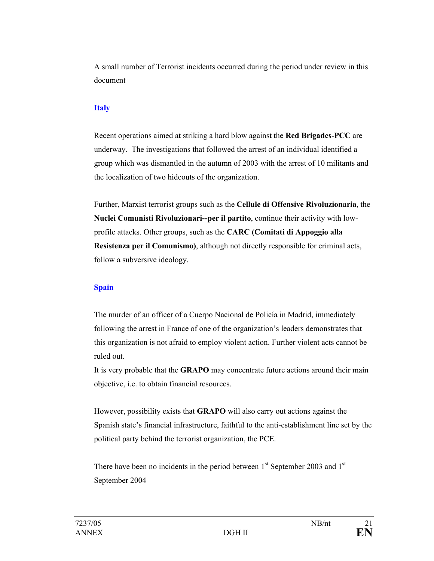A small number of Terrorist incidents occurred during the period under review in this document

#### **Italy**

Recent operations aimed at striking a hard blow against the **Red Brigades-PCC** are underway. The investigations that followed the arrest of an individual identified a group which was dismantled in the autumn of 2003 with the arrest of 10 militants and the localization of two hideouts of the organization.

Further, Marxist terrorist groups such as the **Cellule di Offensive Rivoluzionaria**, the **Nuclei Comunisti Rivoluzionari--per il partito**, continue their activity with lowprofile attacks. Other groups, such as the **CARC (Comitati di Appoggio alla Resistenza per il Comunismo)**, although not directly responsible for criminal acts, follow a subversive ideology.

#### **Spain**

The murder of an officer of a Cuerpo Nacional de Policía in Madrid, immediately following the arrest in France of one of the organization's leaders demonstrates that this organization is not afraid to employ violent action. Further violent acts cannot be ruled out.

It is very probable that the **GRAPO** may concentrate future actions around their main objective, i.e. to obtain financial resources.

However, possibility exists that **GRAPO** will also carry out actions against the Spanish state's financial infrastructure, faithful to the anti-establishment line set by the political party behind the terrorist organization, the PCE.

There have been no incidents in the period between  $1<sup>st</sup>$  September 2003 and  $1<sup>st</sup>$ September 2004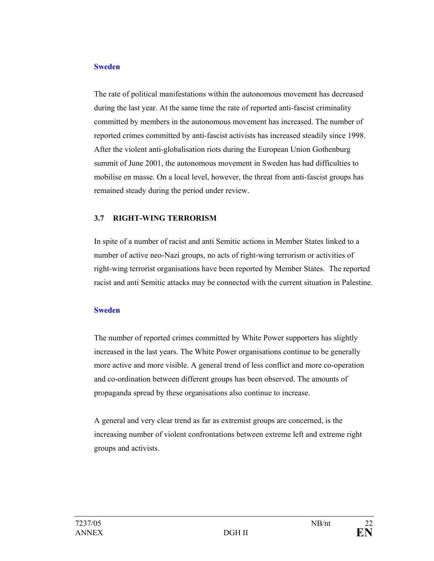#### **Sweden**

The rate of political manifestations within the autonomous movement has decreased during the last year. At the same time the rate of reported anti-fascist criminality committed by members in the autonomous movement has increased. The number of reported crimes committed by anti-fascist activists has increased steadily since 1998. After the violent anti-globalisation riots during the European Union Gothenburg summit of June 2001, the autonomous movement in Sweden has had difficulties to mobilise en masse. On a local level, however, the threat from anti-fascist groups has remained steady during the period under review.

## **3.7 RIGHT-WING TERRORISM**

In spite of a number of racist and anti Semitic actions in Member States linked to a number of active neo-Nazi groups, no acts of right-wing terrorism or activities of right-wing terrorist organisations have been reported by Member States. The reported racist and anti Semitic attacks may be connected with the current situation in Palestine.

#### **Sweden**

The number of reported crimes committed by White Power supporters has slightly increased in the last years. The White Power organisations continue to be generally more active and more visible. A general trend of less conflict and more co-operation and co-ordination between different groups has been observed. The amounts of propaganda spread by these organisations also continue to increase.

A general and very clear trend as far as extremist groups are concerned, is the increasing number of violent confrontations between extreme left and extreme right groups and activists.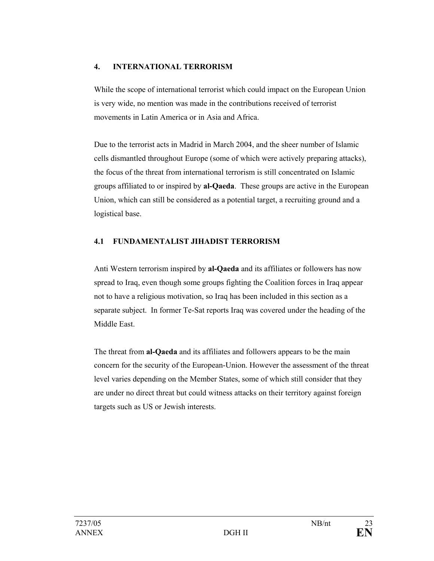## **4. INTERNATIONAL TERRORISM**

While the scope of international terrorist which could impact on the European Union is very wide, no mention was made in the contributions received of terrorist movements in Latin America or in Asia and Africa.

Due to the terrorist acts in Madrid in March 2004, and the sheer number of Islamic cells dismantled throughout Europe (some of which were actively preparing attacks), the focus of the threat from international terrorism is still concentrated on Islamic groups affiliated to or inspired by **al-Qaeda**. These groups are active in the European Union, which can still be considered as a potential target, a recruiting ground and a logistical base.

## **4.1 FUNDAMENTALIST JIHADIST TERRORISM**

Anti Western terrorism inspired by **al-Qaeda** and its affiliates or followers has now spread to Iraq, even though some groups fighting the Coalition forces in Iraq appear not to have a religious motivation, so Iraq has been included in this section as a separate subject. In former Te-Sat reports Iraq was covered under the heading of the Middle East.

The threat from **al-Qaeda** and its affiliates and followers appears to be the main concern for the security of the European-Union. However the assessment of the threat level varies depending on the Member States, some of which still consider that they are under no direct threat but could witness attacks on their territory against foreign targets such as US or Jewish interests.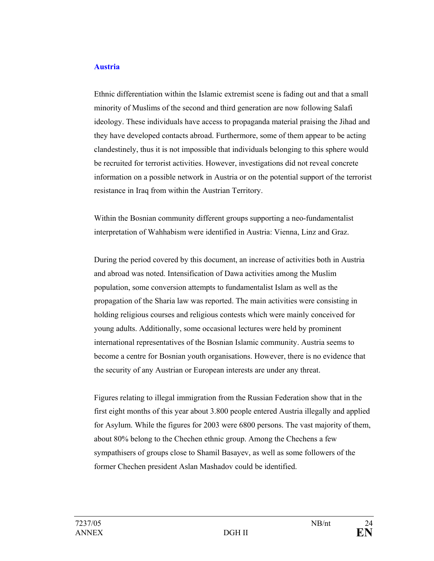#### **Austria**

Ethnic differentiation within the Islamic extremist scene is fading out and that a small minority of Muslims of the second and third generation are now following Salafi ideology. These individuals have access to propaganda material praising the Jihad and they have developed contacts abroad. Furthermore, some of them appear to be acting clandestinely, thus it is not impossible that individuals belonging to this sphere would be recruited for terrorist activities. However, investigations did not reveal concrete information on a possible network in Austria or on the potential support of the terrorist resistance in Iraq from within the Austrian Territory.

Within the Bosnian community different groups supporting a neo-fundamentalist interpretation of Wahhabism were identified in Austria: Vienna, Linz and Graz.

During the period covered by this document, an increase of activities both in Austria and abroad was noted. Intensification of Dawa activities among the Muslim population, some conversion attempts to fundamentalist Islam as well as the propagation of the Sharia law was reported. The main activities were consisting in holding religious courses and religious contests which were mainly conceived for young adults. Additionally, some occasional lectures were held by prominent international representatives of the Bosnian Islamic community. Austria seems to become a centre for Bosnian youth organisations. However, there is no evidence that the security of any Austrian or European interests are under any threat.

Figures relating to illegal immigration from the Russian Federation show that in the first eight months of this year about 3.800 people entered Austria illegally and applied for Asylum. While the figures for 2003 were 6800 persons. The vast majority of them, about 80% belong to the Chechen ethnic group. Among the Chechens a few sympathisers of groups close to Shamil Basayev, as well as some followers of the former Chechen president Aslan Mashadov could be identified.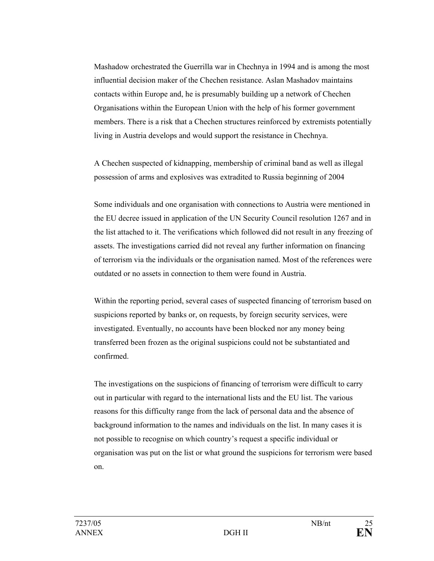Mashadow orchestrated the Guerrilla war in Chechnya in 1994 and is among the most influential decision maker of the Chechen resistance. Aslan Mashadov maintains contacts within Europe and, he is presumably building up a network of Chechen Organisations within the European Union with the help of his former government members. There is a risk that a Chechen structures reinforced by extremists potentially living in Austria develops and would support the resistance in Chechnya.

A Chechen suspected of kidnapping, membership of criminal band as well as illegal possession of arms and explosives was extradited to Russia beginning of 2004

Some individuals and one organisation with connections to Austria were mentioned in the EU decree issued in application of the UN Security Council resolution 1267 and in the list attached to it. The verifications which followed did not result in any freezing of assets. The investigations carried did not reveal any further information on financing of terrorism via the individuals or the organisation named. Most of the references were outdated or no assets in connection to them were found in Austria.

Within the reporting period, several cases of suspected financing of terrorism based on suspicions reported by banks or, on requests, by foreign security services, were investigated. Eventually, no accounts have been blocked nor any money being transferred been frozen as the original suspicions could not be substantiated and confirmed.

The investigations on the suspicions of financing of terrorism were difficult to carry out in particular with regard to the international lists and the EU list. The various reasons for this difficulty range from the lack of personal data and the absence of background information to the names and individuals on the list. In many cases it is not possible to recognise on which country's request a specific individual or organisation was put on the list or what ground the suspicions for terrorism were based on.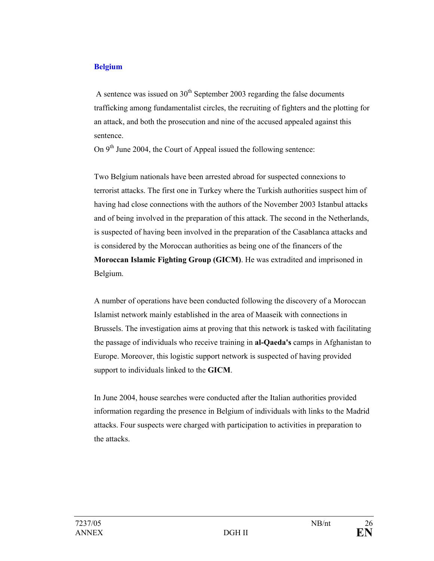#### **Belgium**

A sentence was issued on  $30<sup>th</sup>$  September 2003 regarding the false documents trafficking among fundamentalist circles, the recruiting of fighters and the plotting for an attack, and both the prosecution and nine of the accused appealed against this sentence.

On  $9<sup>th</sup>$  June 2004, the Court of Appeal issued the following sentence:

Two Belgium nationals have been arrested abroad for suspected connexions to terrorist attacks. The first one in Turkey where the Turkish authorities suspect him of having had close connections with the authors of the November 2003 Istanbul attacks and of being involved in the preparation of this attack. The second in the Netherlands, is suspected of having been involved in the preparation of the Casablanca attacks and is considered by the Moroccan authorities as being one of the financers of the **Moroccan Islamic Fighting Group (GICM)**. He was extradited and imprisoned in Belgium.

A number of operations have been conducted following the discovery of a Moroccan Islamist network mainly established in the area of Maaseik with connections in Brussels. The investigation aims at proving that this network is tasked with facilitating the passage of individuals who receive training in **al-Qaeda's** camps in Afghanistan to Europe. Moreover, this logistic support network is suspected of having provided support to individuals linked to the **GICM**.

In June 2004, house searches were conducted after the Italian authorities provided information regarding the presence in Belgium of individuals with links to the Madrid attacks. Four suspects were charged with participation to activities in preparation to the attacks.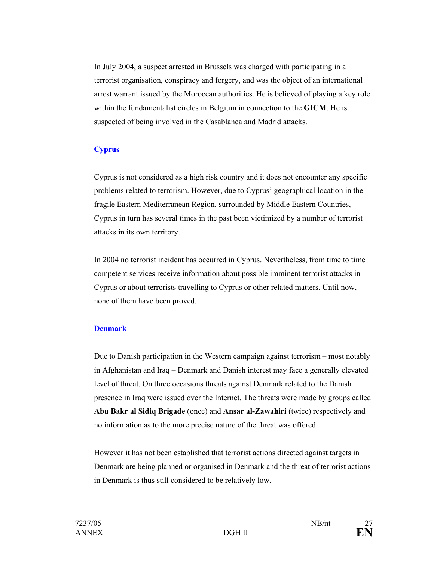In July 2004, a suspect arrested in Brussels was charged with participating in a terrorist organisation, conspiracy and forgery, and was the object of an international arrest warrant issued by the Moroccan authorities. He is believed of playing a key role within the fundamentalist circles in Belgium in connection to the **GICM**. He is suspected of being involved in the Casablanca and Madrid attacks.

## **Cyprus**

Cyprus is not considered as a high risk country and it does not encounter any specific problems related to terrorism. However, due to Cyprus' geographical location in the fragile Eastern Mediterranean Region, surrounded by Middle Eastern Countries, Cyprus in turn has several times in the past been victimized by a number of terrorist attacks in its own territory.

In 2004 no terrorist incident has occurred in Cyprus. Nevertheless, from time to time competent services receive information about possible imminent terrorist attacks in Cyprus or about terrorists travelling to Cyprus or other related matters. Until now, none of them have been proved.

## **Denmark**

Due to Danish participation in the Western campaign against terrorism – most notably in Afghanistan and Iraq – Denmark and Danish interest may face a generally elevated level of threat. On three occasions threats against Denmark related to the Danish presence in Iraq were issued over the Internet. The threats were made by groups called **Abu Bakr al Sidiq Brigade** (once) and **Ansar al-Zawahiri** (twice) respectively and no information as to the more precise nature of the threat was offered.

However it has not been established that terrorist actions directed against targets in Denmark are being planned or organised in Denmark and the threat of terrorist actions in Denmark is thus still considered to be relatively low.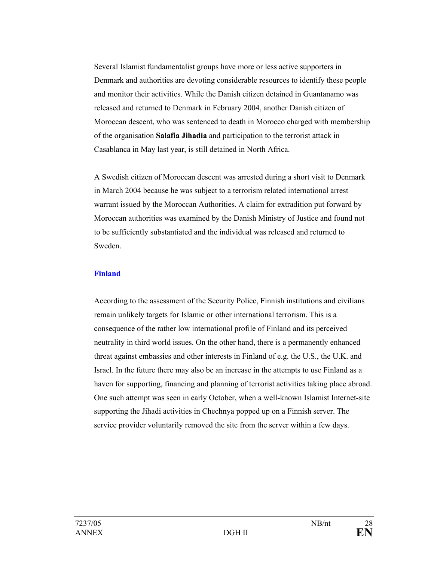Several Islamist fundamentalist groups have more or less active supporters in Denmark and authorities are devoting considerable resources to identify these people and monitor their activities. While the Danish citizen detained in Guantanamo was released and returned to Denmark in February 2004, another Danish citizen of Moroccan descent, who was sentenced to death in Morocco charged with membership of the organisation **Salafia Jihadia** and participation to the terrorist attack in Casablanca in May last year, is still detained in North Africa.

A Swedish citizen of Moroccan descent was arrested during a short visit to Denmark in March 2004 because he was subject to a terrorism related international arrest warrant issued by the Moroccan Authorities. A claim for extradition put forward by Moroccan authorities was examined by the Danish Ministry of Justice and found not to be sufficiently substantiated and the individual was released and returned to Sweden.

#### **Finland**

According to the assessment of the Security Police, Finnish institutions and civilians remain unlikely targets for Islamic or other international terrorism. This is a consequence of the rather low international profile of Finland and its perceived neutrality in third world issues. On the other hand, there is a permanently enhanced threat against embassies and other interests in Finland of e.g. the U.S., the U.K. and Israel. In the future there may also be an increase in the attempts to use Finland as a haven for supporting, financing and planning of terrorist activities taking place abroad. One such attempt was seen in early October, when a well-known Islamist Internet-site supporting the Jihadi activities in Chechnya popped up on a Finnish server. The service provider voluntarily removed the site from the server within a few days.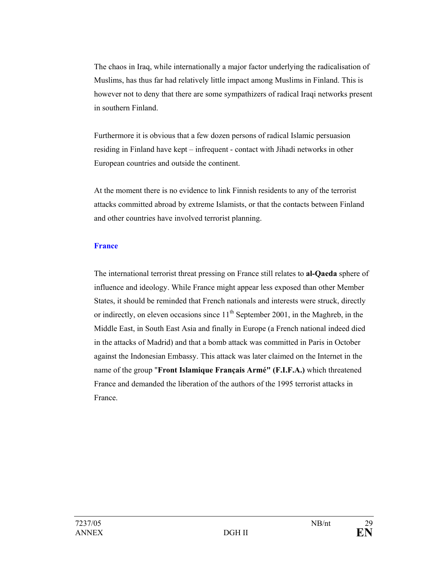The chaos in Iraq, while internationally a major factor underlying the radicalisation of Muslims, has thus far had relatively little impact among Muslims in Finland. This is however not to deny that there are some sympathizers of radical Iraqi networks present in southern Finland.

Furthermore it is obvious that a few dozen persons of radical Islamic persuasion residing in Finland have kept – infrequent - contact with Jihadi networks in other European countries and outside the continent.

At the moment there is no evidence to link Finnish residents to any of the terrorist attacks committed abroad by extreme Islamists, or that the contacts between Finland and other countries have involved terrorist planning.

#### **France**

The international terrorist threat pressing on France still relates to **al-Qaeda** sphere of influence and ideology. While France might appear less exposed than other Member States, it should be reminded that French nationals and interests were struck, directly or indirectly, on eleven occasions since  $11<sup>th</sup>$  September 2001, in the Maghreb, in the Middle East, in South East Asia and finally in Europe (a French national indeed died in the attacks of Madrid) and that a bomb attack was committed in Paris in October against the Indonesian Embassy. This attack was later claimed on the Internet in the name of the group "**Front Islamique Français Armé" (F.I.F.A.)** which threatened France and demanded the liberation of the authors of the 1995 terrorist attacks in France.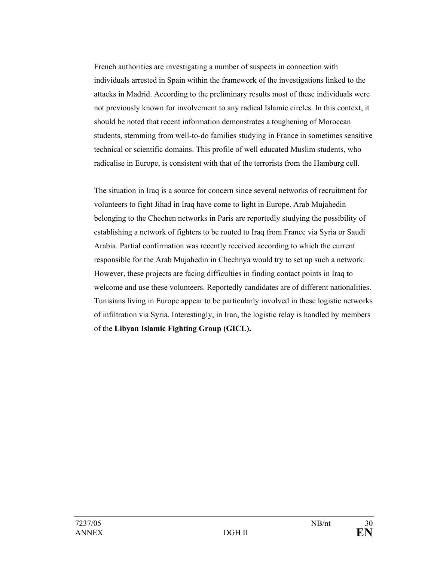French authorities are investigating a number of suspects in connection with individuals arrested in Spain within the framework of the investigations linked to the attacks in Madrid. According to the preliminary results most of these individuals were not previously known for involvement to any radical Islamic circles. In this context, it should be noted that recent information demonstrates a toughening of Moroccan students, stemming from well-to-do families studying in France in sometimes sensitive technical or scientific domains. This profile of well educated Muslim students, who radicalise in Europe, is consistent with that of the terrorists from the Hamburg cell.

The situation in Iraq is a source for concern since several networks of recruitment for volunteers to fight Jihad in Iraq have come to light in Europe. Arab Mujahedin belonging to the Chechen networks in Paris are reportedly studying the possibility of establishing a network of fighters to be routed to Iraq from France via Syria or Saudi Arabia. Partial confirmation was recently received according to which the current responsible for the Arab Mujahedin in Chechnya would try to set up such a network. However, these projects are facing difficulties in finding contact points in Iraq to welcome and use these volunteers. Reportedly candidates are of different nationalities. Tunisians living in Europe appear to be particularly involved in these logistic networks of infiltration via Syria. Interestingly, in Iran, the logistic relay is handled by members of the **Libyan Islamic Fighting Group (GICL).**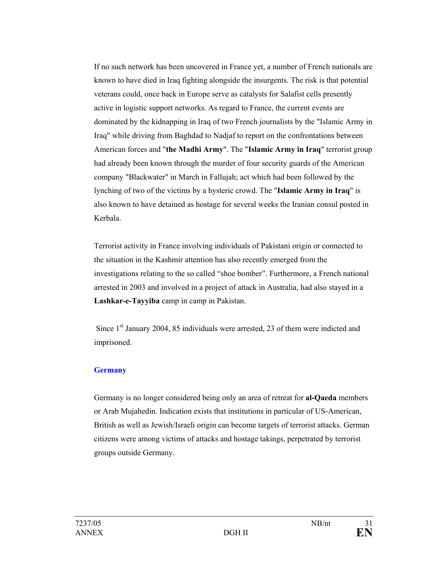If no such network has been uncovered in France yet, a number of French nationals are known to have died in Iraq fighting alongside the insurgents. The risk is that potential veterans could, once back in Europe serve as catalysts for Salafist cells presently active in logistic support networks. As regard to France, the current events are dominated by the kidnapping in Iraq of two French journalists by the "Islamic Army in Iraq" while driving from Baghdad to Nadjaf to report on the confrontations between American forces and "**the Madhi Army**". The "**Islamic Army in Iraq**" terrorist group had already been known through the murder of four security guards of the American company "Blackwater" in March in Fallujah; act which had been followed by the lynching of two of the victims by a hysteric crowd. The "**Islamic Army in Iraq**" is also known to have detained as hostage for several weeks the Iranian consul posted in Kerbala.

Terrorist activity in France involving individuals of Pakistani origin or connected to the situation in the Kashmir attention has also recently emerged from the investigations relating to the so called "shoe bomber". Furthermore, a French national arrested in 2003 and involved in a project of attack in Australia, had also stayed in a **Lashkar-e-Tayyiba** camp in camp in Pakistan.

Since 1<sup>st</sup> January 2004, 85 individuals were arrested, 23 of them were indicted and imprisoned.

#### **Germany**

Germany is no longer considered being only an area of retreat for **al-Qaeda** members or Arab Mujahedin. Indication exists that institutions in particular of US-American, British as well as Jewish/Israeli origin can become targets of terrorist attacks. German citizens were among victims of attacks and hostage takings, perpetrated by terrorist groups outside Germany.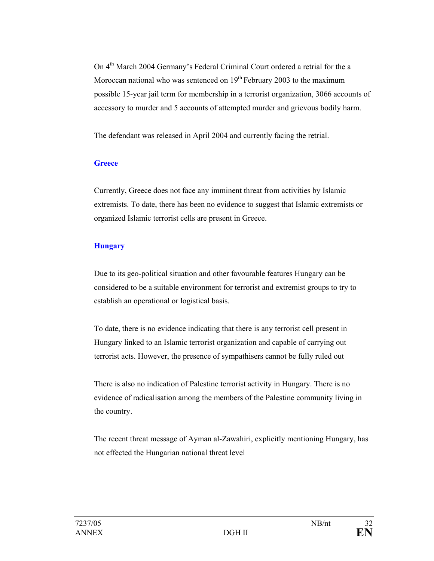On 4th March 2004 Germany's Federal Criminal Court ordered a retrial for the a Moroccan national who was sentenced on  $19<sup>th</sup>$  February 2003 to the maximum possible 15-year jail term for membership in a terrorist organization, 3066 accounts of accessory to murder and 5 accounts of attempted murder and grievous bodily harm.

The defendant was released in April 2004 and currently facing the retrial.

## **Greece**

Currently, Greece does not face any imminent threat from activities by Islamic extremists. To date, there has been no evidence to suggest that Islamic extremists or organized Islamic terrorist cells are present in Greece.

## **Hungary**

Due to its geo-political situation and other favourable features Hungary can be considered to be a suitable environment for terrorist and extremist groups to try to establish an operational or logistical basis.

To date, there is no evidence indicating that there is any terrorist cell present in Hungary linked to an Islamic terrorist organization and capable of carrying out terrorist acts. However, the presence of sympathisers cannot be fully ruled out

There is also no indication of Palestine terrorist activity in Hungary. There is no evidence of radicalisation among the members of the Palestine community living in the country.

The recent threat message of Ayman al-Zawahiri, explicitly mentioning Hungary, has not effected the Hungarian national threat level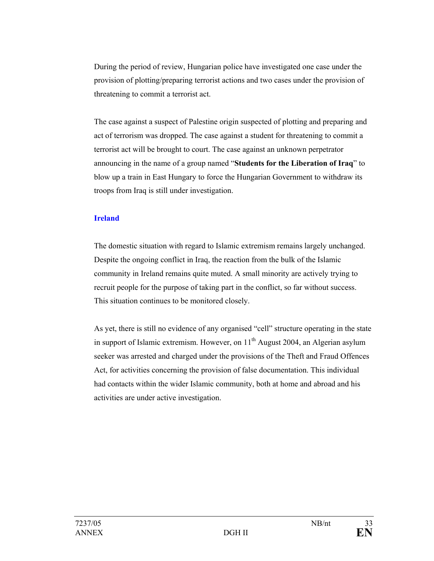During the period of review, Hungarian police have investigated one case under the provision of plotting/preparing terrorist actions and two cases under the provision of threatening to commit a terrorist act.

The case against a suspect of Palestine origin suspected of plotting and preparing and act of terrorism was dropped. The case against a student for threatening to commit a terrorist act will be brought to court. The case against an unknown perpetrator announcing in the name of a group named "**Students for the Liberation of Iraq**" to blow up a train in East Hungary to force the Hungarian Government to withdraw its troops from Iraq is still under investigation.

#### **Ireland**

The domestic situation with regard to Islamic extremism remains largely unchanged. Despite the ongoing conflict in Iraq, the reaction from the bulk of the Islamic community in Ireland remains quite muted. A small minority are actively trying to recruit people for the purpose of taking part in the conflict, so far without success. This situation continues to be monitored closely.

As yet, there is still no evidence of any organised "cell" structure operating in the state in support of Islamic extremism. However, on  $11<sup>th</sup>$  August 2004, an Algerian asylum seeker was arrested and charged under the provisions of the Theft and Fraud Offences Act, for activities concerning the provision of false documentation. This individual had contacts within the wider Islamic community, both at home and abroad and his activities are under active investigation.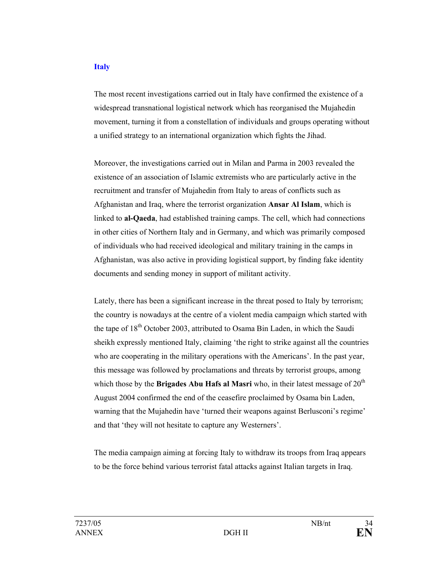#### **Italy**

The most recent investigations carried out in Italy have confirmed the existence of a widespread transnational logistical network which has reorganised the Mujahedin movement, turning it from a constellation of individuals and groups operating without a unified strategy to an international organization which fights the Jihad.

Moreover, the investigations carried out in Milan and Parma in 2003 revealed the existence of an association of Islamic extremists who are particularly active in the recruitment and transfer of Mujahedin from Italy to areas of conflicts such as Afghanistan and Iraq, where the terrorist organization **Ansar Al Islam**, which is linked to **al-Qaeda**, had established training camps. The cell, which had connections in other cities of Northern Italy and in Germany, and which was primarily composed of individuals who had received ideological and military training in the camps in Afghanistan, was also active in providing logistical support, by finding fake identity documents and sending money in support of militant activity.

Lately, there has been a significant increase in the threat posed to Italy by terrorism; the country is nowadays at the centre of a violent media campaign which started with the tape of  $18<sup>th</sup>$  October 2003, attributed to Osama Bin Laden, in which the Saudi sheikh expressly mentioned Italy, claiming 'the right to strike against all the countries who are cooperating in the military operations with the Americans'. In the past year, this message was followed by proclamations and threats by terrorist groups, among which those by the **Brigades Abu Hafs al Masri** who, in their latest message of  $20<sup>th</sup>$ August 2004 confirmed the end of the ceasefire proclaimed by Osama bin Laden, warning that the Mujahedin have 'turned their weapons against Berlusconi's regime' and that 'they will not hesitate to capture any Westerners'.

The media campaign aiming at forcing Italy to withdraw its troops from Iraq appears to be the force behind various terrorist fatal attacks against Italian targets in Iraq.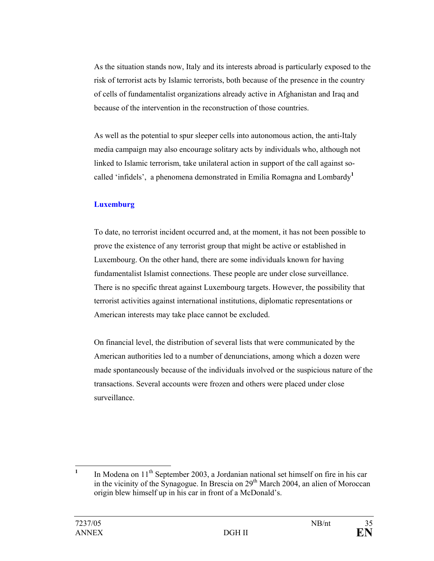As the situation stands now, Italy and its interests abroad is particularly exposed to the risk of terrorist acts by Islamic terrorists, both because of the presence in the country of cells of fundamentalist organizations already active in Afghanistan and Iraq and because of the intervention in the reconstruction of those countries.

As well as the potential to spur sleeper cells into autonomous action, the anti-Italy media campaign may also encourage solitary acts by individuals who, although not linked to Islamic terrorism, take unilateral action in support of the call against socalled 'infidels', a phenomena demonstrated in Emilia Romagna and Lombardy**<sup>1</sup>**

## **Luxemburg**

To date, no terrorist incident occurred and, at the moment, it has not been possible to prove the existence of any terrorist group that might be active or established in Luxembourg. On the other hand, there are some individuals known for having fundamentalist Islamist connections. These people are under close surveillance. There is no specific threat against Luxembourg targets. However, the possibility that terrorist activities against international institutions, diplomatic representations or American interests may take place cannot be excluded.

On financial level, the distribution of several lists that were communicated by the American authorities led to a number of denunciations, among which a dozen were made spontaneously because of the individuals involved or the suspicious nature of the transactions. Several accounts were frozen and others were placed under close surveillance.

 **1** In Modena on 11<sup>th</sup> September 2003, a Jordanian national set himself on fire in his car in the vicinity of the Synagogue. In Brescia on  $29<sup>th</sup>$  March 2004, an alien of Moroccan origin blew himself up in his car in front of a McDonald's.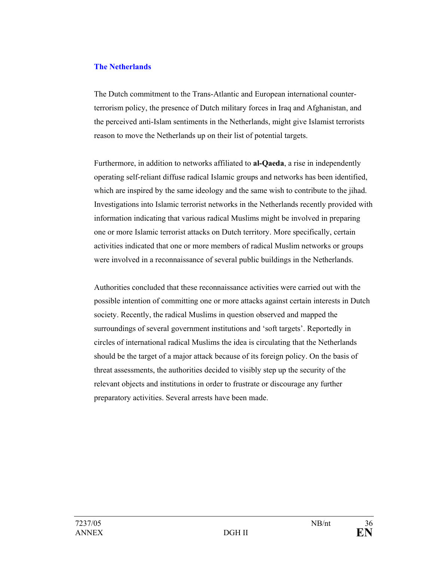#### **The Netherlands**

The Dutch commitment to the Trans-Atlantic and European international counterterrorism policy, the presence of Dutch military forces in Iraq and Afghanistan, and the perceived anti-Islam sentiments in the Netherlands, might give Islamist terrorists reason to move the Netherlands up on their list of potential targets.

Furthermore, in addition to networks affiliated to **al-Qaeda**, a rise in independently operating self-reliant diffuse radical Islamic groups and networks has been identified, which are inspired by the same ideology and the same wish to contribute to the jihad. Investigations into Islamic terrorist networks in the Netherlands recently provided with information indicating that various radical Muslims might be involved in preparing one or more Islamic terrorist attacks on Dutch territory. More specifically, certain activities indicated that one or more members of radical Muslim networks or groups were involved in a reconnaissance of several public buildings in the Netherlands.

Authorities concluded that these reconnaissance activities were carried out with the possible intention of committing one or more attacks against certain interests in Dutch society. Recently, the radical Muslims in question observed and mapped the surroundings of several government institutions and 'soft targets'. Reportedly in circles of international radical Muslims the idea is circulating that the Netherlands should be the target of a major attack because of its foreign policy. On the basis of threat assessments, the authorities decided to visibly step up the security of the relevant objects and institutions in order to frustrate or discourage any further preparatory activities. Several arrests have been made.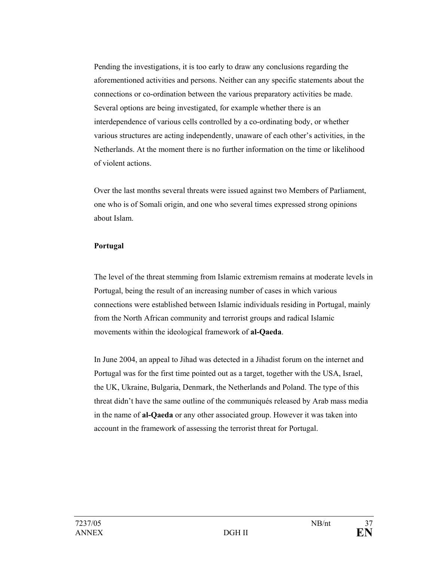Pending the investigations, it is too early to draw any conclusions regarding the aforementioned activities and persons. Neither can any specific statements about the connections or co-ordination between the various preparatory activities be made. Several options are being investigated, for example whether there is an interdependence of various cells controlled by a co-ordinating body, or whether various structures are acting independently, unaware of each other's activities, in the Netherlands. At the moment there is no further information on the time or likelihood of violent actions.

Over the last months several threats were issued against two Members of Parliament, one who is of Somali origin, and one who several times expressed strong opinions about Islam.

#### **Portugal**

The level of the threat stemming from Islamic extremism remains at moderate levels in Portugal, being the result of an increasing number of cases in which various connections were established between Islamic individuals residing in Portugal, mainly from the North African community and terrorist groups and radical Islamic movements within the ideological framework of **al-Qaeda**.

In June 2004, an appeal to Jihad was detected in a Jihadist forum on the internet and Portugal was for the first time pointed out as a target, together with the USA, Israel, the UK, Ukraine, Bulgaria, Denmark, the Netherlands and Poland. The type of this threat didn't have the same outline of the communiqués released by Arab mass media in the name of **al-Qaeda** or any other associated group. However it was taken into account in the framework of assessing the terrorist threat for Portugal.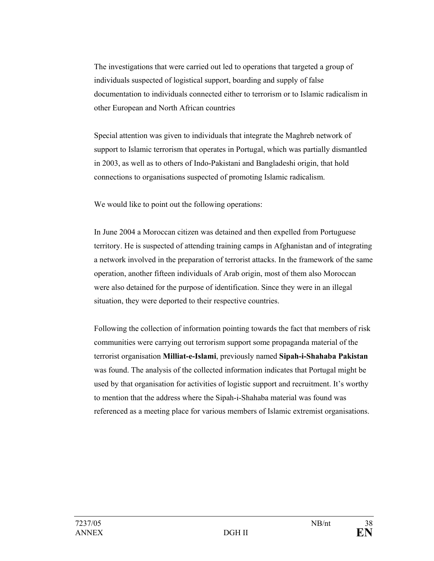The investigations that were carried out led to operations that targeted a group of individuals suspected of logistical support, boarding and supply of false documentation to individuals connected either to terrorism or to Islamic radicalism in other European and North African countries

Special attention was given to individuals that integrate the Maghreb network of support to Islamic terrorism that operates in Portugal, which was partially dismantled in 2003, as well as to others of Indo-Pakistani and Bangladeshi origin, that hold connections to organisations suspected of promoting Islamic radicalism.

We would like to point out the following operations:

In June 2004 a Moroccan citizen was detained and then expelled from Portuguese territory. He is suspected of attending training camps in Afghanistan and of integrating a network involved in the preparation of terrorist attacks. In the framework of the same operation, another fifteen individuals of Arab origin, most of them also Moroccan were also detained for the purpose of identification. Since they were in an illegal situation, they were deported to their respective countries.

Following the collection of information pointing towards the fact that members of risk communities were carrying out terrorism support some propaganda material of the terrorist organisation **Milliat-e-Islami**, previously named **Sipah-i-Shahaba Pakistan** was found. The analysis of the collected information indicates that Portugal might be used by that organisation for activities of logistic support and recruitment. It's worthy to mention that the address where the Sipah-i-Shahaba material was found was referenced as a meeting place for various members of Islamic extremist organisations.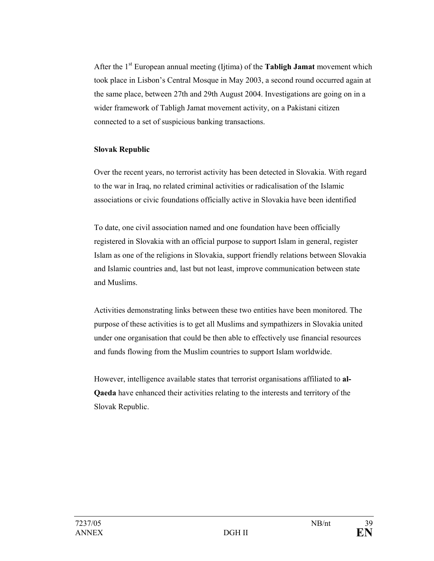After the 1st European annual meeting (Ijtima) of the **Tabligh Jamat** movement which took place in Lisbon's Central Mosque in May 2003, a second round occurred again at the same place, between 27th and 29th August 2004. Investigations are going on in a wider framework of Tabligh Jamat movement activity, on a Pakistani citizen connected to a set of suspicious banking transactions.

#### **Slovak Republic**

Over the recent years, no terrorist activity has been detected in Slovakia. With regard to the war in Iraq, no related criminal activities or radicalisation of the Islamic associations or civic foundations officially active in Slovakia have been identified

 To date, one civil association named and one foundation have been officially registered in Slovakia with an official purpose to support Islam in general, register Islam as one of the religions in Slovakia, support friendly relations between Slovakia and Islamic countries and, last but not least, improve communication between state and Muslims.

Activities demonstrating links between these two entities have been monitored. The purpose of these activities is to get all Muslims and sympathizers in Slovakia united under one organisation that could be then able to effectively use financial resources and funds flowing from the Muslim countries to support Islam worldwide.

However, intelligence available states that terrorist organisations affiliated to **al-Qaeda** have enhanced their activities relating to the interests and territory of the Slovak Republic.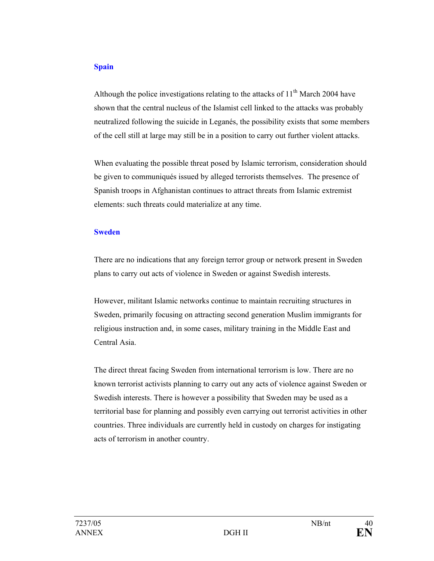#### **Spain**

Although the police investigations relating to the attacks of  $11<sup>th</sup>$  March 2004 have shown that the central nucleus of the Islamist cell linked to the attacks was probably neutralized following the suicide in Leganés, the possibility exists that some members of the cell still at large may still be in a position to carry out further violent attacks.

When evaluating the possible threat posed by Islamic terrorism, consideration should be given to communiqués issued by alleged terrorists themselves. The presence of Spanish troops in Afghanistan continues to attract threats from Islamic extremist elements: such threats could materialize at any time.

#### **Sweden**

There are no indications that any foreign terror group or network present in Sweden plans to carry out acts of violence in Sweden or against Swedish interests.

However, militant Islamic networks continue to maintain recruiting structures in Sweden, primarily focusing on attracting second generation Muslim immigrants for religious instruction and, in some cases, military training in the Middle East and Central Asia.

The direct threat facing Sweden from international terrorism is low. There are no known terrorist activists planning to carry out any acts of violence against Sweden or Swedish interests. There is however a possibility that Sweden may be used as a territorial base for planning and possibly even carrying out terrorist activities in other countries. Three individuals are currently held in custody on charges for instigating acts of terrorism in another country.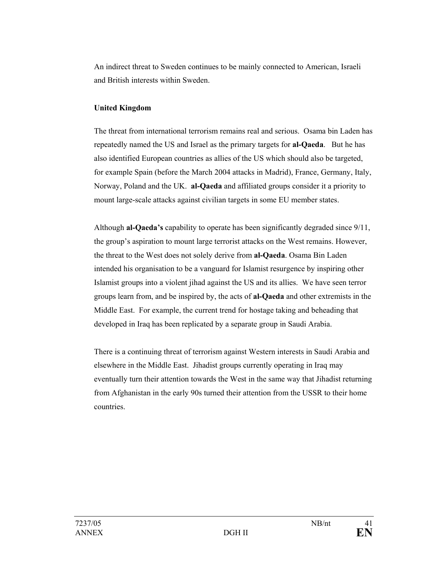An indirect threat to Sweden continues to be mainly connected to American, Israeli and British interests within Sweden.

#### **United Kingdom**

The threat from international terrorism remains real and serious. Osama bin Laden has repeatedly named the US and Israel as the primary targets for **al-Qaeda**. But he has also identified European countries as allies of the US which should also be targeted, for example Spain (before the March 2004 attacks in Madrid), France, Germany, Italy, Norway, Poland and the UK. **al-Qaeda** and affiliated groups consider it a priority to mount large-scale attacks against civilian targets in some EU member states.

Although **al-Qaeda's** capability to operate has been significantly degraded since 9/11, the group's aspiration to mount large terrorist attacks on the West remains. However, the threat to the West does not solely derive from **al-Qaeda**. Osama Bin Laden intended his organisation to be a vanguard for Islamist resurgence by inspiring other Islamist groups into a violent jihad against the US and its allies. We have seen terror groups learn from, and be inspired by, the acts of **al-Qaeda** and other extremists in the Middle East. For example, the current trend for hostage taking and beheading that developed in Iraq has been replicated by a separate group in Saudi Arabia.

There is a continuing threat of terrorism against Western interests in Saudi Arabia and elsewhere in the Middle East. Jihadist groups currently operating in Iraq may eventually turn their attention towards the West in the same way that Jihadist returning from Afghanistan in the early 90s turned their attention from the USSR to their home countries.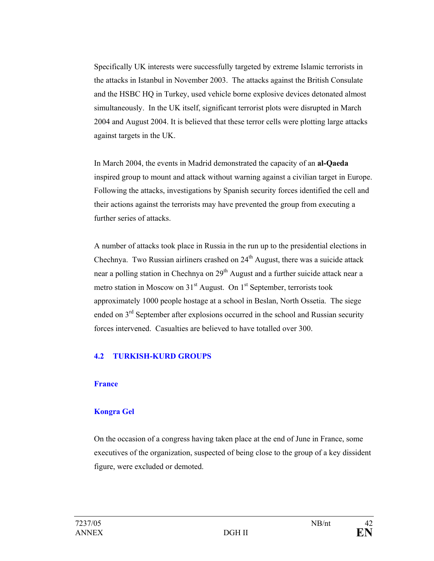Specifically UK interests were successfully targeted by extreme Islamic terrorists in the attacks in Istanbul in November 2003. The attacks against the British Consulate and the HSBC HQ in Turkey, used vehicle borne explosive devices detonated almost simultaneously. In the UK itself, significant terrorist plots were disrupted in March 2004 and August 2004. It is believed that these terror cells were plotting large attacks against targets in the UK.

In March 2004, the events in Madrid demonstrated the capacity of an **al-Qaeda** inspired group to mount and attack without warning against a civilian target in Europe. Following the attacks, investigations by Spanish security forces identified the cell and their actions against the terrorists may have prevented the group from executing a further series of attacks.

A number of attacks took place in Russia in the run up to the presidential elections in Chechnya. Two Russian airliners crashed on  $24<sup>th</sup>$  August, there was a suicide attack near a polling station in Chechnya on 29<sup>th</sup> August and a further suicide attack near a metro station in Moscow on  $31<sup>st</sup>$  August. On  $1<sup>st</sup>$  September, terrorists took approximately 1000 people hostage at a school in Beslan, North Ossetia. The siege ended on  $3<sup>rd</sup>$  September after explosions occurred in the school and Russian security forces intervened. Casualties are believed to have totalled over 300.

## **4.2 TURKISH-KURD GROUPS**

#### **France**

#### **Kongra Gel**

On the occasion of a congress having taken place at the end of June in France, some executives of the organization, suspected of being close to the group of a key dissident figure, were excluded or demoted.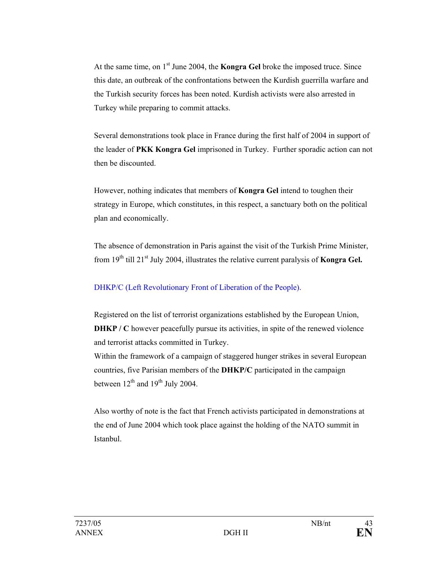At the same time, on 1<sup>st</sup> June 2004, the **Kongra Gel** broke the imposed truce. Since this date, an outbreak of the confrontations between the Kurdish guerrilla warfare and the Turkish security forces has been noted. Kurdish activists were also arrested in Turkey while preparing to commit attacks.

Several demonstrations took place in France during the first half of 2004 in support of the leader of **PKK Kongra Gel** imprisoned in Turkey. Further sporadic action can not then be discounted.

However, nothing indicates that members of **Kongra Gel** intend to toughen their strategy in Europe, which constitutes, in this respect, a sanctuary both on the political plan and economically.

The absence of demonstration in Paris against the visit of the Turkish Prime Minister, from 19<sup>th</sup> till 21<sup>st</sup> July 2004, illustrates the relative current paralysis of **Kongra Gel.** 

## DHKP/C (Left Revolutionary Front of Liberation of the People).

Registered on the list of terrorist organizations established by the European Union, **DHKP** / C however peacefully pursue its activities, in spite of the renewed violence and terrorist attacks committed in Turkey.

Within the framework of a campaign of staggered hunger strikes in several European countries, five Parisian members of the **DHKP/C** participated in the campaign between  $12^{th}$  and  $19^{th}$  July 2004.

Also worthy of note is the fact that French activists participated in demonstrations at the end of June 2004 which took place against the holding of the NATO summit in Istanbul.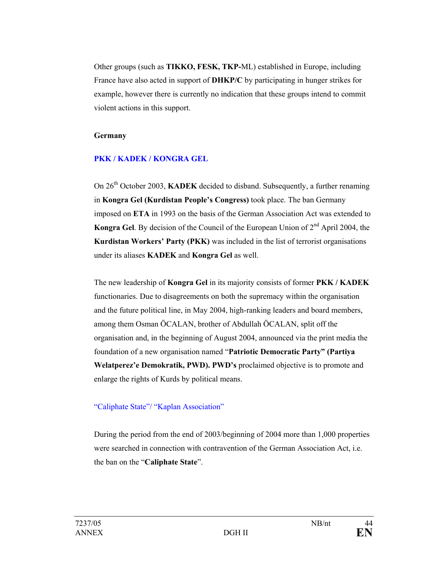Other groups (such as **TIKKO, FESK, TKP-**ML) established in Europe, including France have also acted in support of **DHKP/C** by participating in hunger strikes for example, however there is currently no indication that these groups intend to commit violent actions in this support.

#### **Germany**

## **PKK / KADEK / KONGRA GEL**

On 26<sup>th</sup> October 2003, **KADEK** decided to disband. Subsequently, a further renaming in **Kongra Gel (Kurdistan People's Congress)** took place. The ban Germany imposed on **ETA** in 1993 on the basis of the German Association Act was extended to **Kongra Gel.** By decision of the Council of the European Union of 2<sup>nd</sup> April 2004, the **Kurdistan Workers' Party (PKK)** was included in the list of terrorist organisations under its aliases **KADEK** and **Kongra Gel** as well.

The new leadership of **Kongra Gel** in its majority consists of former **PKK / KADEK** functionaries. Due to disagreements on both the supremacy within the organisation and the future political line, in May 2004, high-ranking leaders and board members, among them Osman ÖCALAN, brother of Abdullah ÖCALAN, split off the organisation and, in the beginning of August 2004, announced via the print media the foundation of a new organisation named "**Patriotic Democratic Party" (Partiya Welatperez'e Demokratik, PWD). PWD's** proclaimed objective is to promote and enlarge the rights of Kurds by political means.

## "Caliphate State"/ "Kaplan Association"

During the period from the end of 2003/beginning of 2004 more than 1,000 properties were searched in connection with contravention of the German Association Act, i.e. the ban on the "**Caliphate State**".